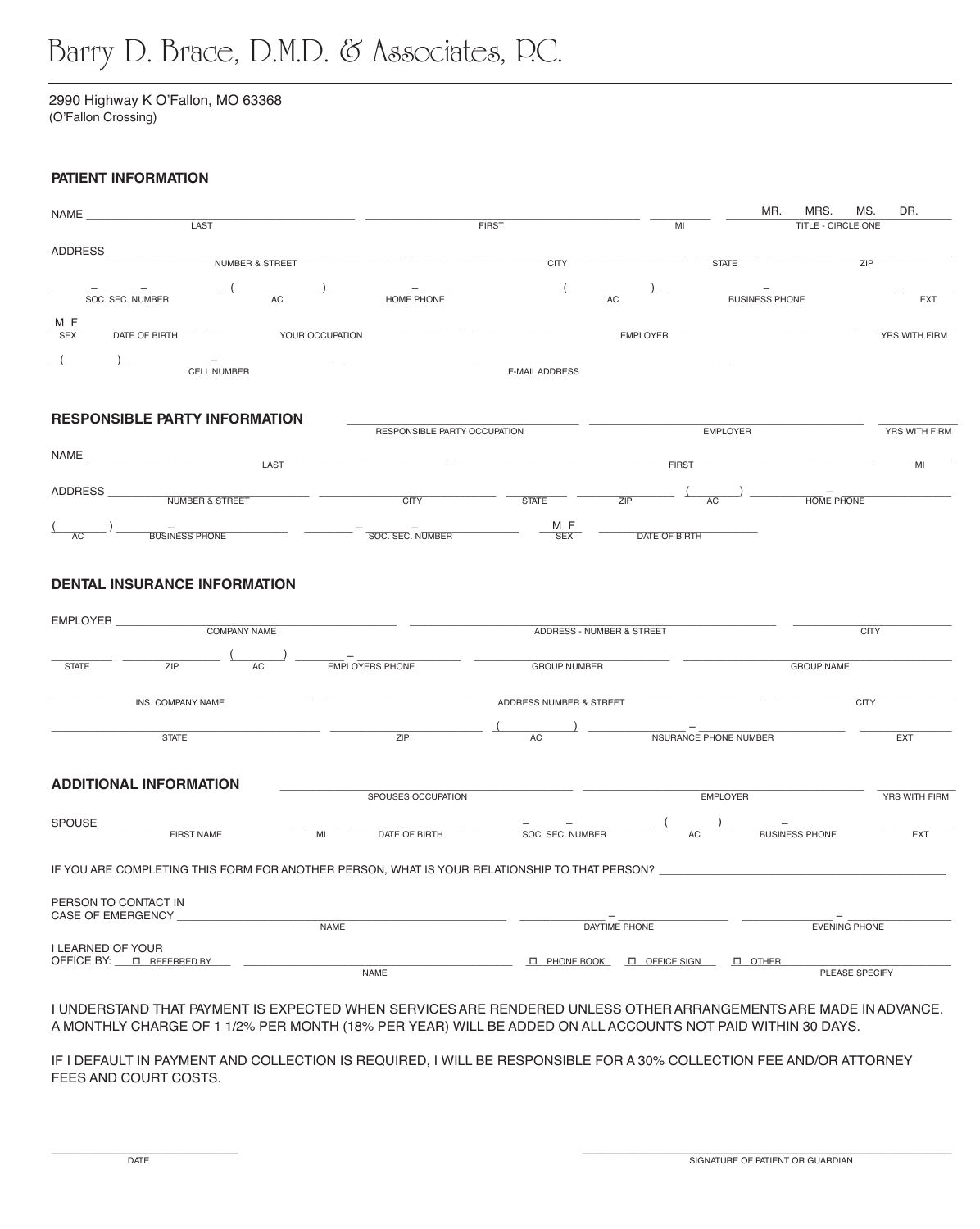2990 Highway K O'Fallon, MO 63368 (O'Fallon Crossing)

## **PATIENT INFORMATION**

| NAME                                                                                                                                                                                                                                                                   |                            |                 |                                                                                               |                           |                 | MR.                                | MRS.<br>MS.           | DR.            |
|------------------------------------------------------------------------------------------------------------------------------------------------------------------------------------------------------------------------------------------------------------------------|----------------------------|-----------------|-----------------------------------------------------------------------------------------------|---------------------------|-----------------|------------------------------------|-----------------------|----------------|
|                                                                                                                                                                                                                                                                        | LAST                       |                 |                                                                                               | <b>FIRST</b>              | MI              |                                    | TITLE - CIRCLE ONE    |                |
| ADDRESS                                                                                                                                                                                                                                                                | <b>NUMBER &amp; STREET</b> |                 |                                                                                               | <b>CITY</b>               |                 | <b>STATE</b>                       | ZIP                   |                |
|                                                                                                                                                                                                                                                                        |                            |                 |                                                                                               |                           |                 |                                    |                       |                |
|                                                                                                                                                                                                                                                                        |                            | AC              |                                                                                               |                           | <b>AC</b>       | <b>BUSINESS PHONE</b>              |                       | EXT            |
| M F                                                                                                                                                                                                                                                                    |                            |                 |                                                                                               |                           |                 |                                    |                       |                |
| SEX DATE OF BIRTH                                                                                                                                                                                                                                                      |                            | YOUR OCCUPATION |                                                                                               |                           | <b>EMPLOYER</b> |                                    |                       | YRS WITH FIRM  |
| $\overline{\phantom{a}}$                                                                                                                                                                                                                                               | CELL NUMBER                |                 |                                                                                               | E-MAIL ADDRESS            |                 |                                    |                       |                |
| <b>RESPONSIBLE PARTY INFORMATION</b>                                                                                                                                                                                                                                   |                            |                 |                                                                                               |                           |                 |                                    |                       |                |
|                                                                                                                                                                                                                                                                        |                            |                 | RESPONSIBLE PARTY OCCUPATION                                                                  |                           |                 | EMPLOYER                           |                       | YRS WITH FIRM  |
|                                                                                                                                                                                                                                                                        |                            | LAST            |                                                                                               |                           | <b>FIRST</b>    |                                    |                       | M <sub>l</sub> |
|                                                                                                                                                                                                                                                                        |                            |                 |                                                                                               |                           |                 |                                    |                       |                |
|                                                                                                                                                                                                                                                                        |                            |                 | <b>CITY</b>                                                                                   | STATE                     | ZIP             | $\frac{1}{AC}$ ) –                 | <b>HOME PHONE</b>     |                |
| $\frac{(1.000)(1.000)(1.000)(1.000)(1.000)(1.000)(1.000)(1.000)(1.000)(1.000)(1.000)(1.000)(1.000)(1.000)(1.000)(1.000)(1.000)(1.000)(1.000)(1.000)(1.000)(1.000)(1.000)(1.000)(1.000)(1.000)(1.000)(1.000)(1.000)(1.000)(1.000)(1.000)(1.000)(1.000)(1.000)(1.000)(1$ |                            |                 | $-\frac{1}{\text{SOC. SEC.}}$ NUMBER                                                          | M F<br><b>SEX</b>         | DATE OF BIRTH   |                                    |                       |                |
| EMPLOYER ______________                                                                                                                                                                                                                                                | COMPANY NAME               |                 |                                                                                               | ADDRESS - NUMBER & STREET |                 |                                    |                       | <b>CITY</b>    |
| ZIP<br><b>STATE</b>                                                                                                                                                                                                                                                    | AC                         |                 | <b>EMPLOYERS PHONE</b>                                                                        | <b>GROUP NUMBER</b>       |                 |                                    | <b>GROUP NAME</b>     |                |
|                                                                                                                                                                                                                                                                        | INS. COMPANY NAME          |                 |                                                                                               | ADDRESS NUMBER & STREET   |                 |                                    | <b>CITY</b>           |                |
|                                                                                                                                                                                                                                                                        |                            |                 |                                                                                               |                           |                 |                                    |                       |                |
|                                                                                                                                                                                                                                                                        | <b>STATE</b>               |                 | ZIP                                                                                           | AC                        |                 | INSURANCE PHONE NUMBER             |                       | <b>EXT</b>     |
| <b>ADDITIONAL INFORMATION</b>                                                                                                                                                                                                                                          |                            |                 |                                                                                               |                           |                 |                                    |                       |                |
|                                                                                                                                                                                                                                                                        |                            |                 | SPOUSES OCCUPATION                                                                            |                           |                 | <b>EMPLOYER</b>                    |                       | YRS WITH FIRM  |
| SPOUSE_                                                                                                                                                                                                                                                                | FIRST NAME                 | MI              | DATE OF BIRTH                                                                                 |                           |                 | $\overline{AC}$                    | <b>BUSINESS PHONE</b> | EXT            |
|                                                                                                                                                                                                                                                                        |                            |                 |                                                                                               |                           |                 |                                    |                       |                |
|                                                                                                                                                                                                                                                                        |                            |                 | IF YOU ARE COMPLETING THIS FORM FOR ANOTHER PERSON, WHAT IS YOUR RELATIONSHIP TO THAT PERSON? |                           |                 |                                    |                       |                |
| PERSON TO CONTACT IN                                                                                                                                                                                                                                                   |                            |                 |                                                                                               |                           |                 |                                    |                       |                |
|                                                                                                                                                                                                                                                                        |                            | <b>NAME</b>     |                                                                                               |                           | DAYTIME PHONE   |                                    | <b>EVENING PHONE</b>  |                |
| I LEARNED OF YOUR                                                                                                                                                                                                                                                      |                            |                 |                                                                                               |                           |                 | □ PHONE BOOK □ OFFICE SIGN □ OTHER |                       |                |
|                                                                                                                                                                                                                                                                        |                            |                 | <b>NAME</b>                                                                                   |                           |                 |                                    | PLEASE SPECIFY        |                |

I UNDERSTAND THAT PAYMENT IS EXPECTED WHEN SERVICES ARE RENDERED UNLESS OTHER ARRANGEMENTS ARE MADE IN ADVANCE. A MONTHLY CHARGE OF 1 1/2% PER MONTH (18% PER YEAR) WILL BE ADDED ON ALL ACCOUNTS NOT PAID WITHIN 30 DAYS.

IF I DEFAULT IN PAYMENT AND COLLECTION IS REQUIRED, I WILL BE RESPONSIBLE FOR A 30% COLLECTION FEE AND/OR ATTORNEY FEES AND COURT COSTS.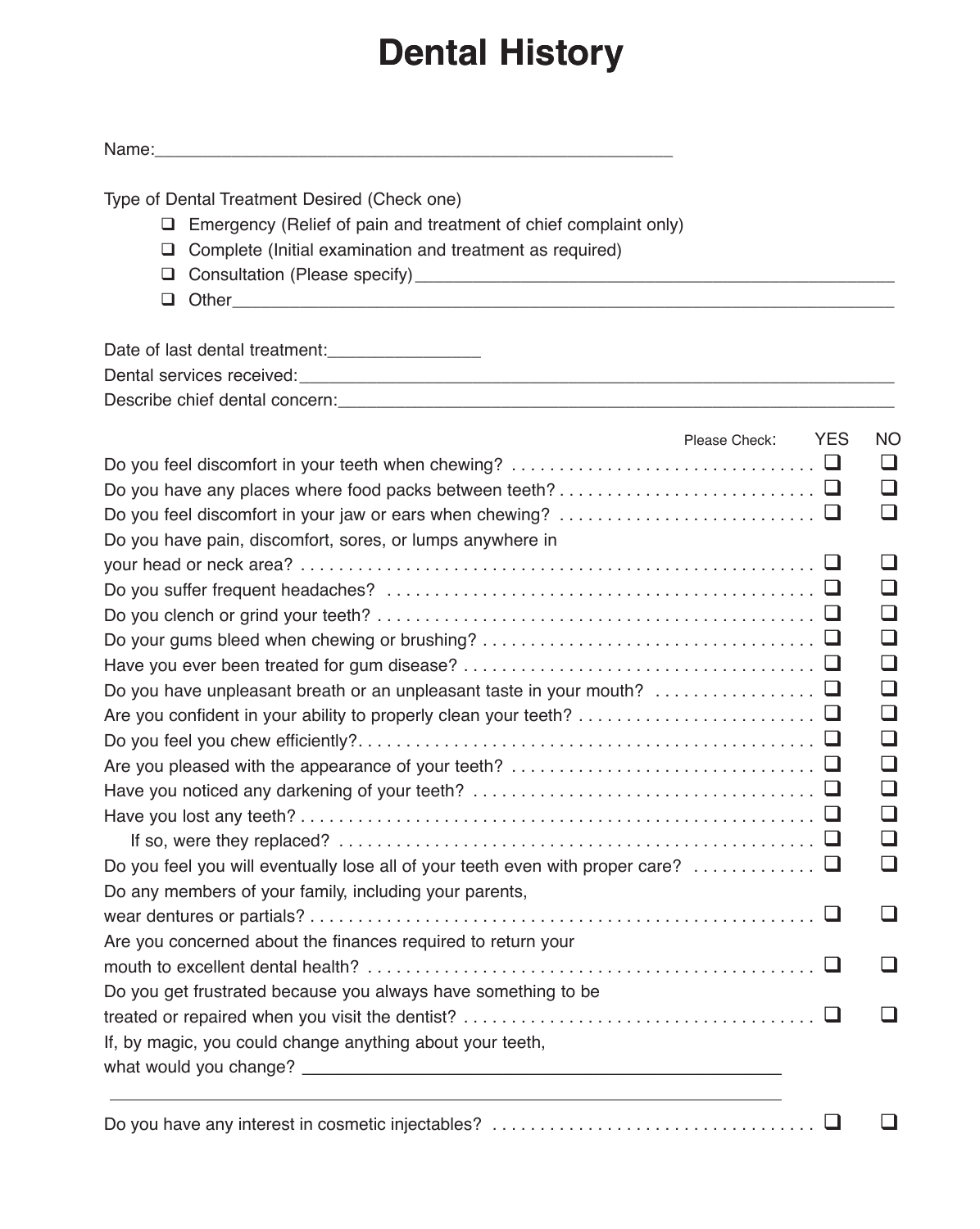## **Dental History**

| Name |  |  |  |
|------|--|--|--|
|      |  |  |  |
|      |  |  |  |

Type of Dental Treatment Desired (Check one)

- $\Box$  Emergency (Relief of pain and treatment of chief complaint only)
- $\Box$  Complete (Initial examination and treatment as required)
- Consultation (Please specify)\_\_\_\_\_\_\_\_\_\_\_\_\_\_\_\_\_\_\_\_\_\_\_\_\_\_\_\_\_\_\_\_\_\_\_\_\_\_\_\_\_\_\_\_\_\_\_\_\_\_
- Other\_\_\_\_\_\_\_\_\_\_\_\_\_\_\_\_\_\_\_\_\_\_\_\_\_\_\_\_\_\_\_\_\_\_\_\_\_\_\_\_\_\_\_\_\_\_\_\_\_\_\_\_\_\_\_\_\_\_\_\_\_\_\_\_\_\_\_\_\_

Date of last dental treatment:\_\_\_\_\_\_\_\_\_\_\_\_\_\_\_\_

Dental services received:\_\_\_\_\_\_\_\_\_\_\_\_\_\_\_\_\_\_\_\_\_\_\_\_\_\_\_\_\_\_\_\_\_\_\_\_\_\_\_\_\_\_\_\_\_\_\_\_\_\_\_\_\_\_\_\_\_\_\_\_\_\_

| Describe chief dental concern: |  |
|--------------------------------|--|
|                                |  |

| Please Check:                                                                 | <b>NC</b> |
|-------------------------------------------------------------------------------|-----------|
|                                                                               |           |
|                                                                               |           |
|                                                                               | $\Box$    |
| Do you have pain, discomfort, sores, or lumps anywhere in                     |           |
|                                                                               |           |
|                                                                               |           |
|                                                                               |           |
|                                                                               |           |
|                                                                               |           |
|                                                                               |           |
|                                                                               |           |
|                                                                               |           |
|                                                                               |           |
|                                                                               |           |
|                                                                               |           |
|                                                                               |           |
| Do you feel you will eventually lose all of your teeth even with proper care? |           |
| Do any members of your family, including your parents,                        |           |
|                                                                               |           |
| Are you concerned about the finances required to return your                  |           |
|                                                                               |           |
| Do you get frustrated because you always have something to be                 |           |
|                                                                               |           |
| If, by magic, you could change anything about your teeth,                     |           |
| what would you change?                                                        |           |